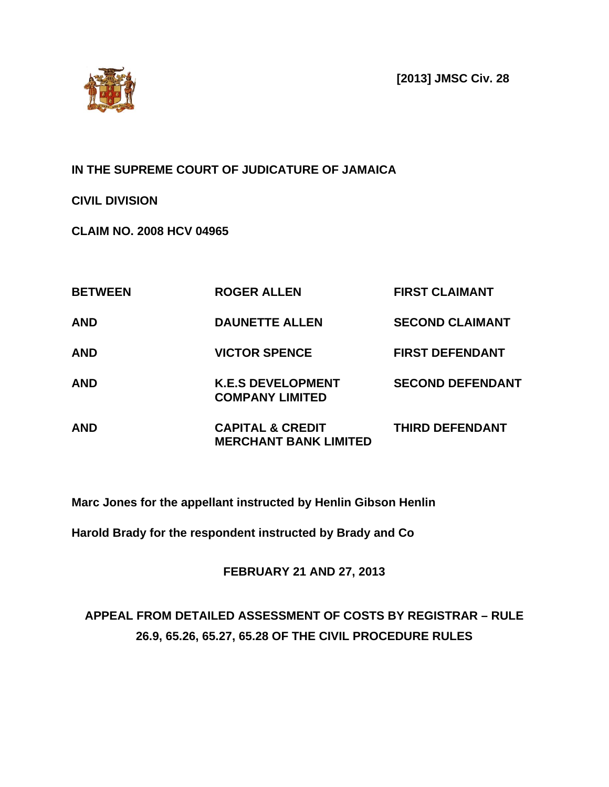**[2013] JMSC Civ. 28**



## **IN THE SUPREME COURT OF JUDICATURE OF JAMAICA**

**CIVIL DIVISION**

**CLAIM NO. 2008 HCV 04965**

| <b>BETWEEN</b> | <b>ROGER ALLEN</b>                                          | <b>FIRST CLAIMANT</b>   |
|----------------|-------------------------------------------------------------|-------------------------|
| <b>AND</b>     | <b>DAUNETTE ALLEN</b>                                       | <b>SECOND CLAIMANT</b>  |
| <b>AND</b>     | <b>VICTOR SPENCE</b>                                        | <b>FIRST DEFENDANT</b>  |
| <b>AND</b>     | <b>K.E.S DEVELOPMENT</b><br><b>COMPANY LIMITED</b>          | <b>SECOND DEFENDANT</b> |
| <b>AND</b>     | <b>CAPITAL &amp; CREDIT</b><br><b>MERCHANT BANK LIMITED</b> | <b>THIRD DEFENDANT</b>  |

**Marc Jones for the appellant instructed by Henlin Gibson Henlin** 

**Harold Brady for the respondent instructed by Brady and Co**

**FEBRUARY 21 AND 27, 2013**

# **APPEAL FROM DETAILED ASSESSMENT OF COSTS BY REGISTRAR – RULE 26.9, 65.26, 65.27, 65.28 OF THE CIVIL PROCEDURE RULES**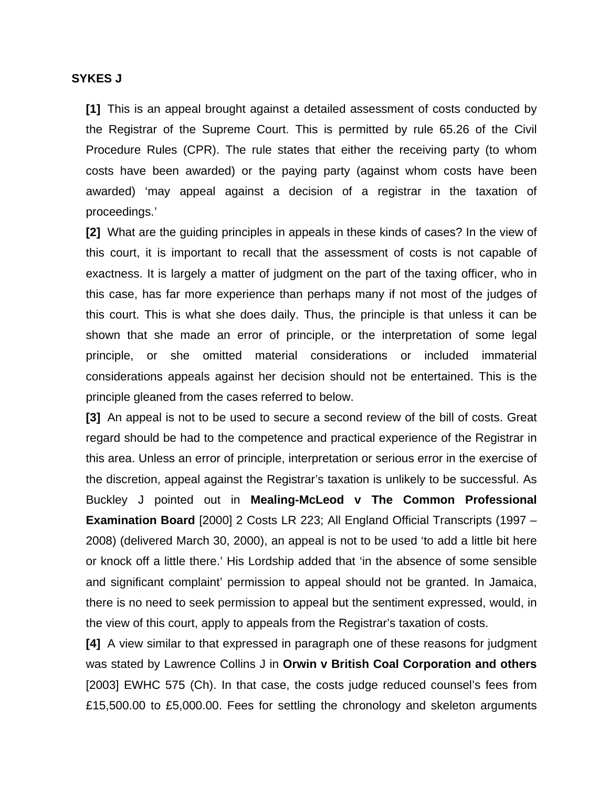#### **SYKES J**

**[1]** This is an appeal brought against a detailed assessment of costs conducted by the Registrar of the Supreme Court. This is permitted by rule 65.26 of the Civil Procedure Rules (CPR). The rule states that either the receiving party (to whom costs have been awarded) or the paying party (against whom costs have been awarded) 'may appeal against a decision of a registrar in the taxation of proceedings.'

**[2]** What are the guiding principles in appeals in these kinds of cases? In the view of this court, it is important to recall that the assessment of costs is not capable of exactness. It is largely a matter of judgment on the part of the taxing officer, who in this case, has far more experience than perhaps many if not most of the judges of this court. This is what she does daily. Thus, the principle is that unless it can be shown that she made an error of principle, or the interpretation of some legal principle, or she omitted material considerations or included immaterial considerations appeals against her decision should not be entertained. This is the principle gleaned from the cases referred to below.

**[3]** An appeal is not to be used to secure a second review of the bill of costs. Great regard should be had to the competence and practical experience of the Registrar in this area. Unless an error of principle, interpretation or serious error in the exercise of the discretion, appeal against the Registrar's taxation is unlikely to be successful. As Buckley J pointed out in **Mealing-McLeod v The Common Professional Examination Board** [2000] 2 Costs LR 223; All England Official Transcripts (1997 – 2008) (delivered March 30, 2000), an appeal is not to be used 'to add a little bit here or knock off a little there.' His Lordship added that 'in the absence of some sensible and significant complaint' permission to appeal should not be granted. In Jamaica, there is no need to seek permission to appeal but the sentiment expressed, would, in the view of this court, apply to appeals from the Registrar's taxation of costs.

**[4]** A view similar to that expressed in paragraph one of these reasons for judgment was stated by Lawrence Collins J in **Orwin v British Coal Corporation and others**  [2003] EWHC 575 (Ch). In that case, the costs judge reduced counsel's fees from £15,500.00 to £5,000.00. Fees for settling the chronology and skeleton arguments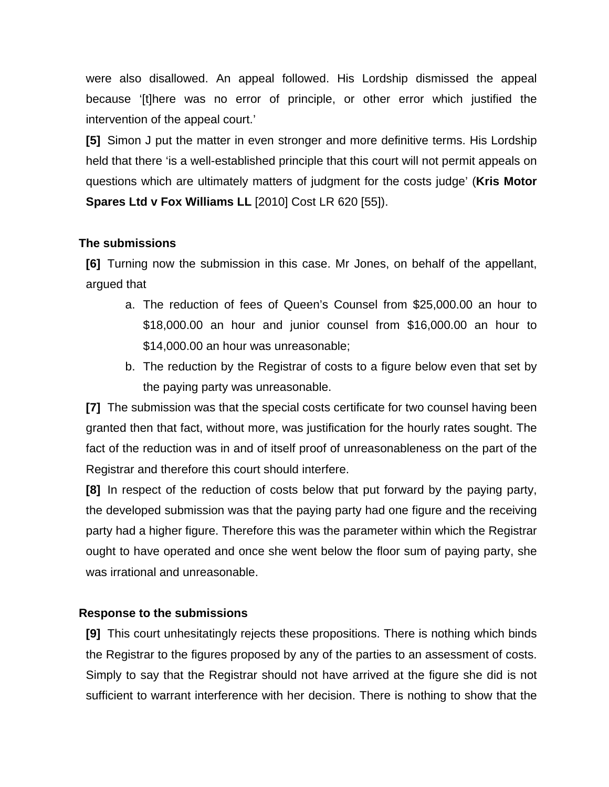were also disallowed. An appeal followed. His Lordship dismissed the appeal because '[t]here was no error of principle, or other error which justified the intervention of the appeal court.'

**[5]** Simon J put the matter in even stronger and more definitive terms. His Lordship held that there 'is a well-established principle that this court will not permit appeals on questions which are ultimately matters of judgment for the costs judge' (**Kris Motor Spares Ltd v Fox Williams LL** [2010] Cost LR 620 [55]).

#### **The submissions**

**[6]** Turning now the submission in this case. Mr Jones, on behalf of the appellant, argued that

- a. The reduction of fees of Queen's Counsel from \$25,000.00 an hour to \$18,000.00 an hour and junior counsel from \$16,000.00 an hour to \$14,000.00 an hour was unreasonable;
- b. The reduction by the Registrar of costs to a figure below even that set by the paying party was unreasonable.

**[7]** The submission was that the special costs certificate for two counsel having been granted then that fact, without more, was justification for the hourly rates sought. The fact of the reduction was in and of itself proof of unreasonableness on the part of the Registrar and therefore this court should interfere.

**[8]** In respect of the reduction of costs below that put forward by the paying party, the developed submission was that the paying party had one figure and the receiving party had a higher figure. Therefore this was the parameter within which the Registrar ought to have operated and once she went below the floor sum of paying party, she was irrational and unreasonable.

### **Response to the submissions**

**[9]** This court unhesitatingly rejects these propositions. There is nothing which binds the Registrar to the figures proposed by any of the parties to an assessment of costs. Simply to say that the Registrar should not have arrived at the figure she did is not sufficient to warrant interference with her decision. There is nothing to show that the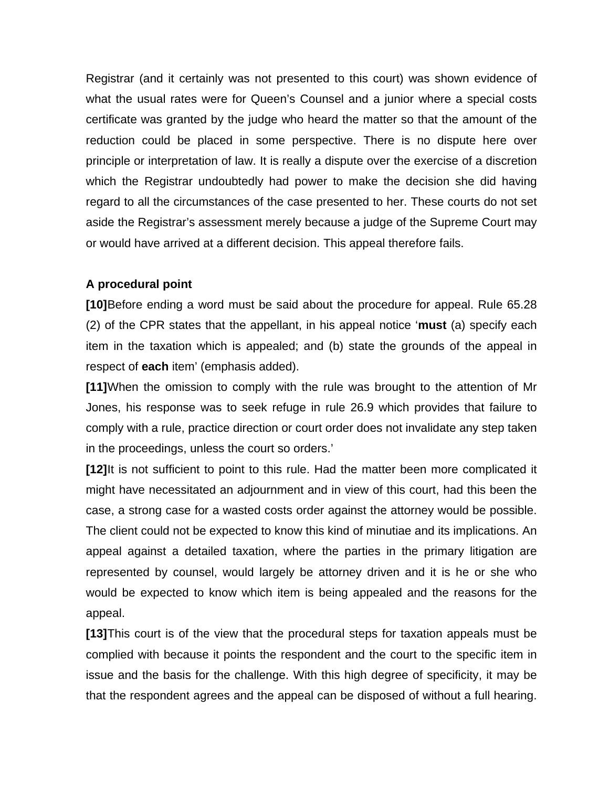Registrar (and it certainly was not presented to this court) was shown evidence of what the usual rates were for Queen's Counsel and a junior where a special costs certificate was granted by the judge who heard the matter so that the amount of the reduction could be placed in some perspective. There is no dispute here over principle or interpretation of law. It is really a dispute over the exercise of a discretion which the Registrar undoubtedly had power to make the decision she did having regard to all the circumstances of the case presented to her. These courts do not set aside the Registrar's assessment merely because a judge of the Supreme Court may or would have arrived at a different decision. This appeal therefore fails.

#### **A procedural point**

**[10]**Before ending a word must be said about the procedure for appeal. Rule 65.28 (2) of the CPR states that the appellant, in his appeal notice '**must** (a) specify each item in the taxation which is appealed; and (b) state the grounds of the appeal in respect of **each** item' (emphasis added).

**[11]**When the omission to comply with the rule was brought to the attention of Mr Jones, his response was to seek refuge in rule 26.9 which provides that failure to comply with a rule, practice direction or court order does not invalidate any step taken in the proceedings, unless the court so orders.'

**[12]**It is not sufficient to point to this rule. Had the matter been more complicated it might have necessitated an adjournment and in view of this court, had this been the case, a strong case for a wasted costs order against the attorney would be possible. The client could not be expected to know this kind of minutiae and its implications. An appeal against a detailed taxation, where the parties in the primary litigation are represented by counsel, would largely be attorney driven and it is he or she who would be expected to know which item is being appealed and the reasons for the appeal.

**[13]**This court is of the view that the procedural steps for taxation appeals must be complied with because it points the respondent and the court to the specific item in issue and the basis for the challenge. With this high degree of specificity, it may be that the respondent agrees and the appeal can be disposed of without a full hearing.